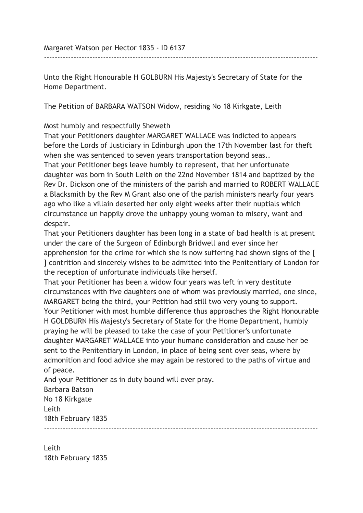Margaret Watson per Hector 1835 - ID 6137

Unto the Right Honourable H GOLBURN His Majesty's Secretary of State for the Home Department.

------------------------------------------------------------------------------------------------------

The Petition of BARBARA WATSON Widow, residing No 18 Kirkgate, Leith

Most humbly and respectfully Sheweth

That your Petitioners daughter MARGARET WALLACE was indicted to appears before the Lords of Justiciary in Edinburgh upon the 17th November last for theft when she was sentenced to seven years transportation beyond seas..

That your Petitioner begs leave humbly to represent, that her unfortunate daughter was born in South Leith on the 22nd November 1814 and baptized by the Rev Dr. Dickson one of the ministers of the parish and married to ROBERT WALLACE a Blacksmith by the Rev M Grant also one of the parish ministers nearly four years ago who like a villain deserted her only eight weeks after their nuptials which circumstance un happily drove the unhappy young woman to misery, want and despair.

That your Petitioners daughter has been long in a state of bad health is at present under the care of the Surgeon of Edinburgh Bridwell and ever since her apprehension for the crime for which she is now suffering had shown signs of the [ ] contrition and sincerely wishes to be admitted into the Penitentiary of London for the reception of unfortunate individuals like herself.

That your Petitioner has been a widow four years was left in very destitute circumstances with five daughters one of whom was previously married, one since, MARGARET being the third, your Petition had still two very young to support. Your Petitioner with most humble difference thus approaches the Right Honourable H GOLDBURN His Majesty's Secretary of State for the Home Department, humbly praying he will be pleased to take the case of your Petitioner's unfortunate daughter MARGARET WALLACE into your humane consideration and cause her be sent to the Penitentiary in London, in place of being sent over seas, where by admonition and food advice she may again be restored to the paths of virtue and of peace.

And your Petitioner as in duty bound will ever pray.

Barbara Batson No 18 Kirkgate Leith 18th February 1835

------------------------------------------------------------------------------------------------------

Leith 18th February 1835